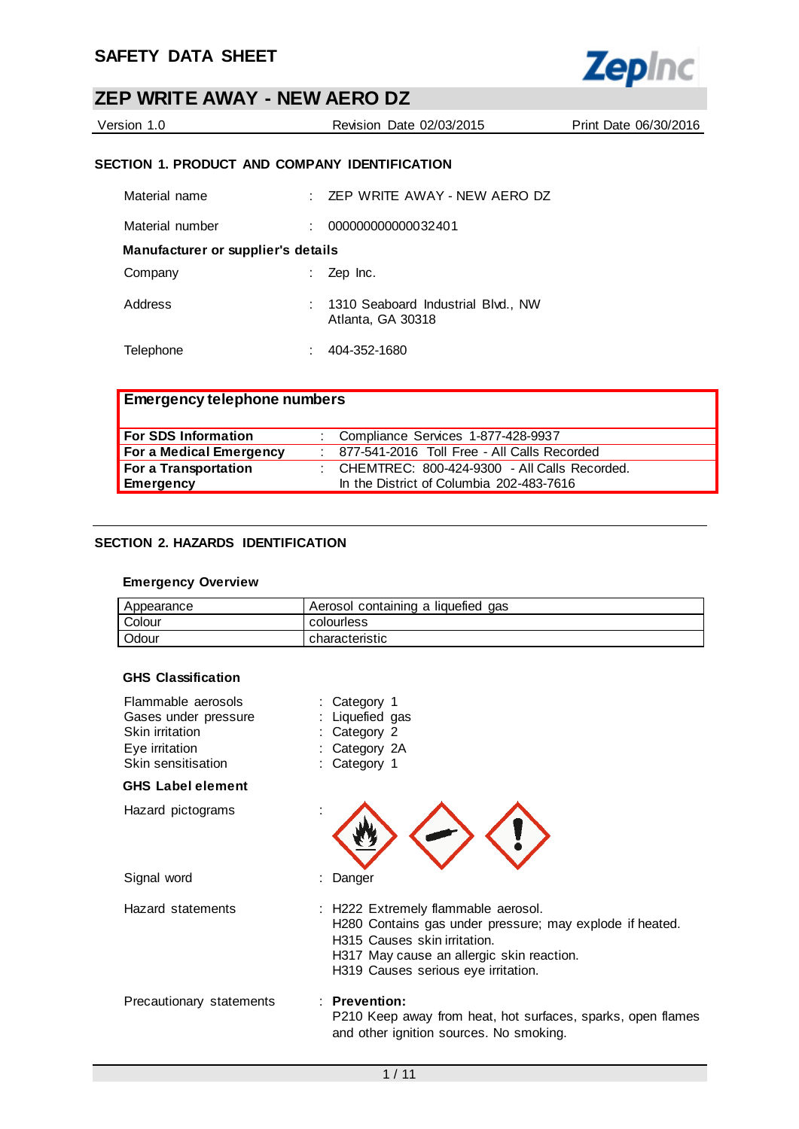

| Version 1.0 | Revision Date 02/03/2015 | Print Date 06/30/2016 |
|-------------|--------------------------|-----------------------|
|             |                          |                       |

### **SECTION 1. PRODUCT AND COMPANY IDENTIFICATION**

| Material name                      |    | $\pm$ ZEP WRITE AWAY - NEW AERO DZ                        |
|------------------------------------|----|-----------------------------------------------------------|
| Material number                    | t. | 000000000000032401                                        |
| Manufacturer or supplier's details |    |                                                           |
| Company                            |    | Zep Inc.                                                  |
| Address                            |    | : 1310 Seaboard Industrial Blvd., NW<br>Atlanta, GA 30318 |
| Telephone                          |    | 404-352-1680                                              |

| <b>Emergency telephone numbers</b> |  |                                                  |  |
|------------------------------------|--|--------------------------------------------------|--|
| For SDS Information                |  | : Compliance Services 1-877-428-9937             |  |
| For a Medical Emergency            |  | : 877-541-2016 Toll Free - All Calls Recorded    |  |
| For a Transportation               |  | : CHEMTREC: $800-424-9300$ - All Calls Recorded. |  |
| Emergency                          |  | In the District of Columbia 202-483-7616         |  |

### **SECTION 2. HAZARDS IDENTIFICATION**

### **Emergency Overview**

| Appearance | Aerosol containing a liquefied gas |
|------------|------------------------------------|
| Colour     | colourless                         |
| Odour      | characteristic                     |

#### **GHS Classification**

| Flammable aerosols<br>Gases under pressure<br>Skin irritation<br>Eye irritation<br>Skin sensitisation | : Category 1<br>: Liquefied gas<br>Category 2<br>Category 2A<br>Category 1                                                                                                                                          |
|-------------------------------------------------------------------------------------------------------|---------------------------------------------------------------------------------------------------------------------------------------------------------------------------------------------------------------------|
| <b>GHS Label element</b>                                                                              |                                                                                                                                                                                                                     |
| Hazard pictograms                                                                                     |                                                                                                                                                                                                                     |
| Signal word                                                                                           | Danger                                                                                                                                                                                                              |
| Hazard statements                                                                                     | : H222 Extremely flammable aerosol.<br>H280 Contains gas under pressure; may explode if heated.<br>H315 Causes skin irritation.<br>H317 May cause an allergic skin reaction.<br>H319 Causes serious eye irritation. |
| Precautionary statements                                                                              | $:$ Prevention:<br>P210 Keep away from heat, hot surfaces, sparks, open flames<br>and other ignition sources. No smoking.                                                                                           |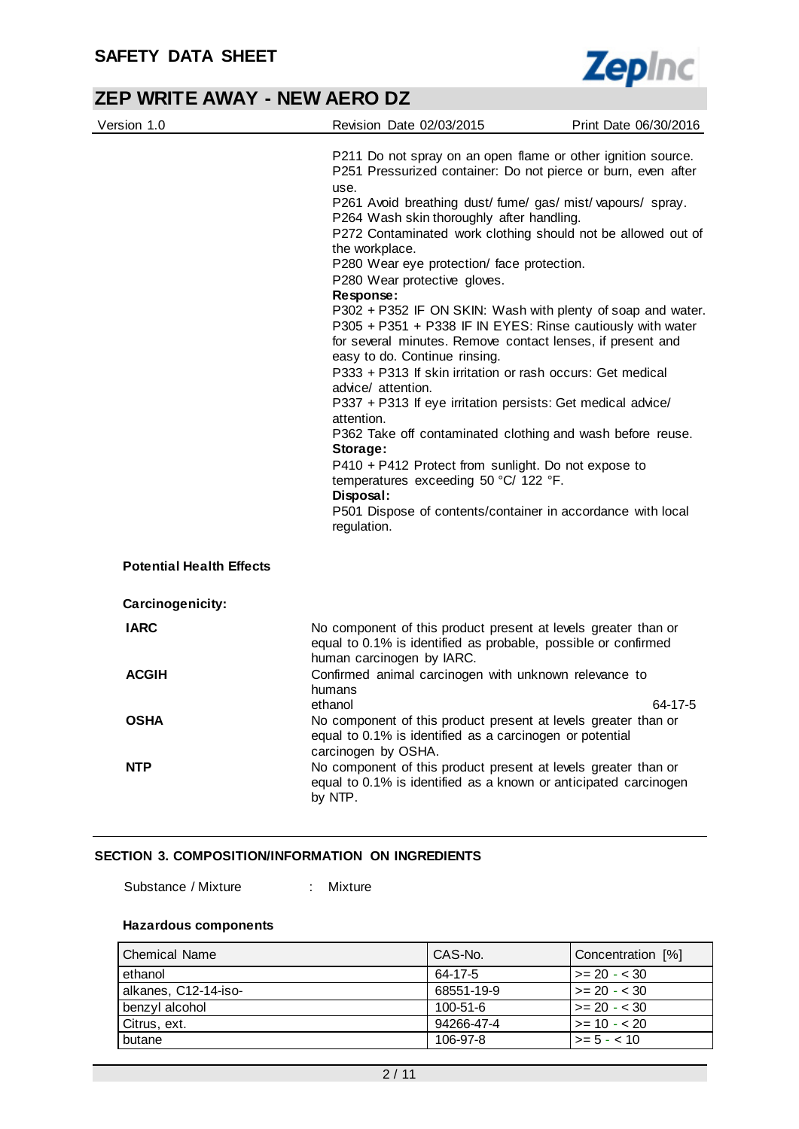

| Version 1.0                     | Revision Date 02/03/2015                                                                                                                                                                                                                                                                                                                                                                                                                                                                                                                                                                                                                                                                                                                                                                                                                                                                                                                                                                                                                                                                         | Print Date 06/30/2016 |
|---------------------------------|--------------------------------------------------------------------------------------------------------------------------------------------------------------------------------------------------------------------------------------------------------------------------------------------------------------------------------------------------------------------------------------------------------------------------------------------------------------------------------------------------------------------------------------------------------------------------------------------------------------------------------------------------------------------------------------------------------------------------------------------------------------------------------------------------------------------------------------------------------------------------------------------------------------------------------------------------------------------------------------------------------------------------------------------------------------------------------------------------|-----------------------|
|                                 | P211 Do not spray on an open flame or other ignition source.<br>P251 Pressurized container: Do not pierce or burn, even after<br>use.<br>P261 Avoid breathing dust/ fume/ gas/ mist/ vapours/ spray.<br>P264 Wash skin thoroughly after handling.<br>P272 Contaminated work clothing should not be allowed out of<br>the workplace.<br>P280 Wear eye protection/ face protection.<br>P280 Wear protective gloves.<br>Response:<br>P302 + P352 IF ON SKIN: Wash with plenty of soap and water.<br>P305 + P351 + P338 IF IN EYES: Rinse cautiously with water<br>for several minutes. Remove contact lenses, if present and<br>easy to do. Continue rinsing.<br>P333 + P313 If skin irritation or rash occurs: Get medical<br>advice/ attention.<br>P337 + P313 If eye irritation persists: Get medical advice/<br>attention.<br>P362 Take off contaminated clothing and wash before reuse.<br>Storage:<br>P410 + P412 Protect from sunlight. Do not expose to<br>temperatures exceeding 50 °C/ 122 °F.<br>Disposal:<br>P501 Dispose of contents/container in accordance with local<br>regulation. |                       |
| <b>Potential Health Effects</b> |                                                                                                                                                                                                                                                                                                                                                                                                                                                                                                                                                                                                                                                                                                                                                                                                                                                                                                                                                                                                                                                                                                  |                       |
| Carcinogenicity:                |                                                                                                                                                                                                                                                                                                                                                                                                                                                                                                                                                                                                                                                                                                                                                                                                                                                                                                                                                                                                                                                                                                  |                       |
| <b>IARC</b>                     | No component of this product present at levels greater than or<br>equal to 0.1% is identified as probable, possible or confirmed<br>human carcinogen by IARC.                                                                                                                                                                                                                                                                                                                                                                                                                                                                                                                                                                                                                                                                                                                                                                                                                                                                                                                                    |                       |
| <b>ACGIH</b>                    | Confirmed animal carcinogen with unknown relevance to<br>humans<br>ethanol                                                                                                                                                                                                                                                                                                                                                                                                                                                                                                                                                                                                                                                                                                                                                                                                                                                                                                                                                                                                                       | 64-17-5               |
| <b>OSHA</b>                     | No component of this product present at levels greater than or<br>equal to 0.1% is identified as a carcinogen or potential<br>carcinogen by OSHA.                                                                                                                                                                                                                                                                                                                                                                                                                                                                                                                                                                                                                                                                                                                                                                                                                                                                                                                                                |                       |
| <b>NTP</b>                      | No component of this product present at levels greater than or<br>equal to 0.1% is identified as a known or anticipated carcinogen<br>by NTP.                                                                                                                                                                                                                                                                                                                                                                                                                                                                                                                                                                                                                                                                                                                                                                                                                                                                                                                                                    |                       |

#### **SECTION 3. COMPOSITION/INFORMATION ON INGREDIENTS**

Substance / Mixture : Mixture

#### **Hazardous components**

| l Chemical Name      | CAS-No.    | Concentration [%]    |
|----------------------|------------|----------------------|
| ethanol              | 64-17-5    | $\ge$ 20 - < 30      |
| alkanes, C12-14-iso- | 68551-19-9 | $\ge$ = 20 - < 30    |
| benzyl alcohol       | 100-51-6   | $\vert$ >= 20 - < 30 |
| Citrus, ext.         | 94266-47-4 | $\vert$ >= 10 - < 20 |
| butane               | 106-97-8   | $\ge$ = 5 - < 10     |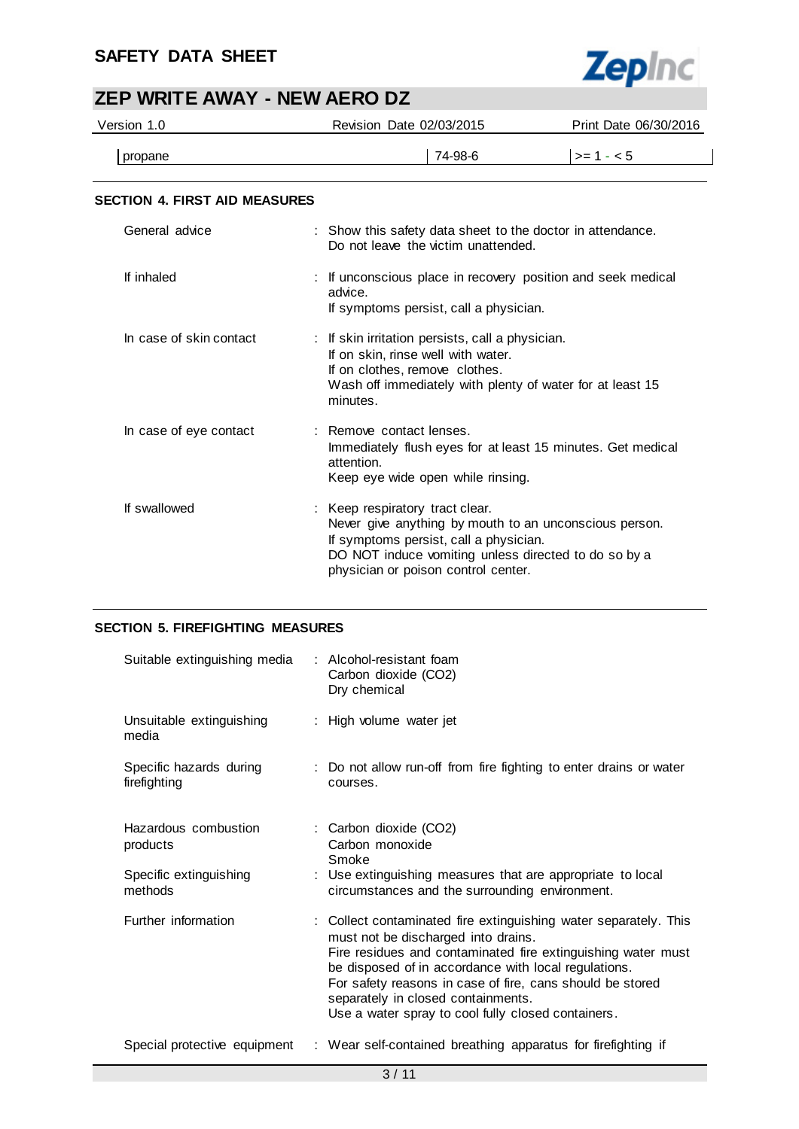### **SAFETY DATA SHEET**



# **ZEP WRITE AWAY - NEW AERO DZ**

| Version 1.0                          | Revision Date 02/03/2015                                                                                                                                                                                                           | Print Date 06/30/2016 |  |
|--------------------------------------|------------------------------------------------------------------------------------------------------------------------------------------------------------------------------------------------------------------------------------|-----------------------|--|
| propane                              | 74-98-6                                                                                                                                                                                                                            | $>= 1 - 5$            |  |
| <b>SECTION 4. FIRST AID MEASURES</b> |                                                                                                                                                                                                                                    |                       |  |
| General advice                       | : Show this safety data sheet to the doctor in attendance.<br>Do not leave the victim unattended.                                                                                                                                  |                       |  |
| If inhaled                           | : If unconscious place in recovery position and seek medical<br>advice.<br>If symptoms persist, call a physician.                                                                                                                  |                       |  |
| In case of skin contact              | : If skin irritation persists, call a physician.<br>If on skin, rinse well with water.<br>If on clothes, remove clothes.<br>Wash off immediately with plenty of water for at least 15<br>minutes.                                  |                       |  |
| In case of eye contact               | : Remove contact lenses.<br>Immediately flush eyes for at least 15 minutes. Get medical<br>attention.<br>Keep eye wide open while rinsing.                                                                                         |                       |  |
| If swallowed                         | : Keep respiratory tract clear.<br>Never give anything by mouth to an unconscious person.<br>If symptoms persist, call a physician.<br>DO NOT induce vomiting unless directed to do so by a<br>physician or poison control center. |                       |  |

### **SECTION 5. FIREFIGHTING MEASURES**

| Suitable extinguishing media            | : Alcohol-resistant foam<br>Carbon dioxide (CO2)<br>Dry chemical                                                                                                                                                                                                                                                                                                                         |
|-----------------------------------------|------------------------------------------------------------------------------------------------------------------------------------------------------------------------------------------------------------------------------------------------------------------------------------------------------------------------------------------------------------------------------------------|
| Unsuitable extinguishing<br>media       | : High volume water jet                                                                                                                                                                                                                                                                                                                                                                  |
| Specific hazards during<br>firefighting | : Do not allow run-off from fire fighting to enter drains or water<br>courses.                                                                                                                                                                                                                                                                                                           |
| Hazardous combustion<br>products        | : Carbon dioxide (CO2)<br>Carbon monoxide<br>Smoke                                                                                                                                                                                                                                                                                                                                       |
| Specific extinguishing<br>methods       | : Use extinguishing measures that are appropriate to local<br>circumstances and the surrounding environment.                                                                                                                                                                                                                                                                             |
| Further information                     | : Collect contaminated fire extinguishing water separately. This<br>must not be discharged into drains.<br>Fire residues and contaminated fire extinguishing water must<br>be disposed of in accordance with local regulations.<br>For safety reasons in case of fire, cans should be stored<br>separately in closed containments.<br>Use a water spray to cool fully closed containers. |
| Special protective equipment            | : Wear self-contained breathing apparatus for firefighting if                                                                                                                                                                                                                                                                                                                            |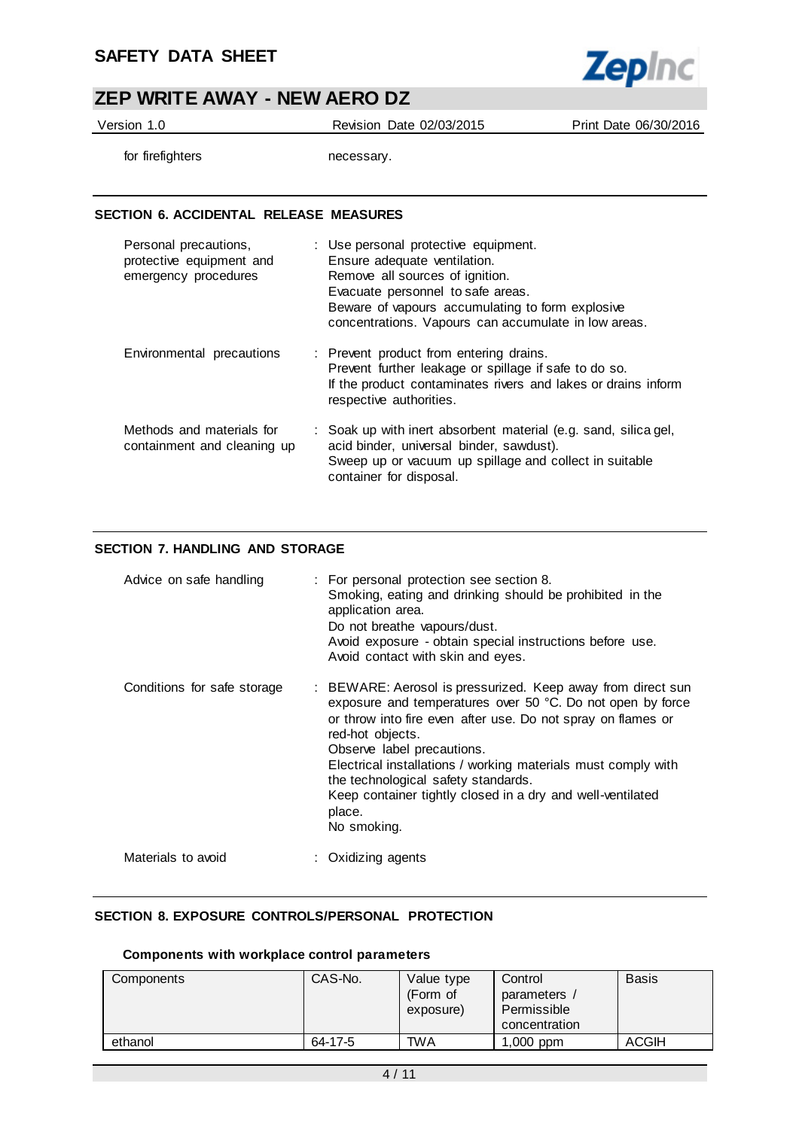

Version 1.0 Revision Date 02/03/2015 Print Date 06/30/2016

for firefighters necessary.

#### **SECTION 6. ACCIDENTAL RELEASE MEASURES**

| Personal precautions,<br>protective equipment and<br>emergency procedures | : Use personal protective equipment.<br>Ensure adequate ventilation.<br>Remove all sources of ignition.<br>Evacuate personnel to safe areas.<br>Beware of vapours accumulating to form explosive<br>concentrations. Vapours can accumulate in low areas. |
|---------------------------------------------------------------------------|----------------------------------------------------------------------------------------------------------------------------------------------------------------------------------------------------------------------------------------------------------|
| Environmental precautions                                                 | : Prevent product from entering drains.<br>Prevent further leakage or spillage if safe to do so.<br>If the product contaminates rivers and lakes or drains inform<br>respective authorities.                                                             |
| Methods and materials for<br>containment and cleaning up                  | : Soak up with inert absorbent material (e.g. sand, silica gel,<br>acid binder, universal binder, sawdust).<br>Sweep up or vacuum up spillage and collect in suitable<br>container for disposal.                                                         |

### **SECTION 7. HANDLING AND STORAGE**

| Advice on safe handling     | : For personal protection see section 8.<br>Smoking, eating and drinking should be prohibited in the<br>application area.<br>Do not breathe vapours/dust.<br>Avoid exposure - obtain special instructions before use.<br>Avoid contact with skin and eyes.                                                                                                                                                                                 |
|-----------------------------|--------------------------------------------------------------------------------------------------------------------------------------------------------------------------------------------------------------------------------------------------------------------------------------------------------------------------------------------------------------------------------------------------------------------------------------------|
| Conditions for safe storage | : BEWARE: Aerosol is pressurized. Keep away from direct sun<br>exposure and temperatures over 50 °C. Do not open by force<br>or throw into fire even after use. Do not spray on flames or<br>red-hot objects.<br>Observe label precautions.<br>Electrical installations / working materials must comply with<br>the technological safety standards.<br>Keep container tightly closed in a dry and well-ventilated<br>place.<br>No smoking. |
| Materials to avoid          | : Oxidizing agents                                                                                                                                                                                                                                                                                                                                                                                                                         |

### **SECTION 8. EXPOSURE CONTROLS/PERSONAL PROTECTION**

#### **Components with workplace control parameters**

| Components | CAS-No. | Value type<br>(Form of<br>exposure) | Control<br>parameters<br>Permissible<br>concentration | <b>Basis</b> |
|------------|---------|-------------------------------------|-------------------------------------------------------|--------------|
| ethanol    | 64-17-5 | <b>TWA</b>                          | $1,000$ ppm                                           | <b>ACGIH</b> |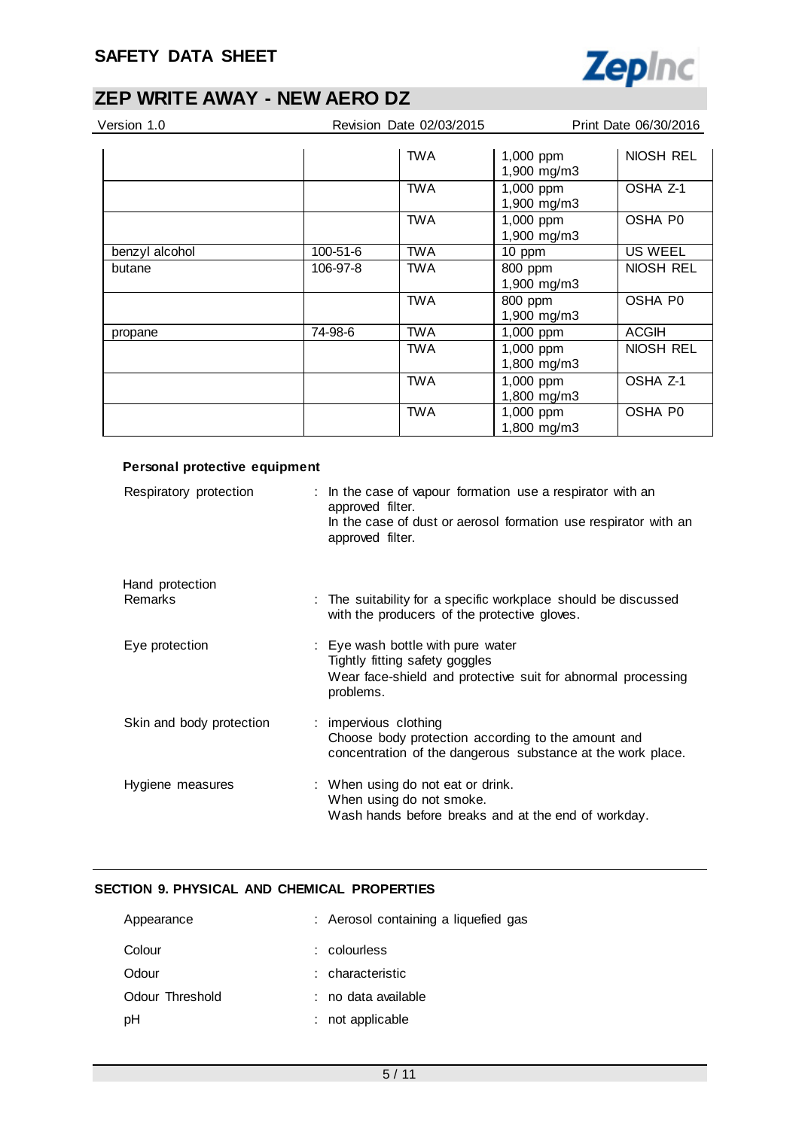

| Version 1.0    |          | Revision Date 02/03/2015 |                          | Print Date 06/30/2016 |
|----------------|----------|--------------------------|--------------------------|-----------------------|
|                |          | <b>TWA</b>               | 1,000 ppm<br>1,900 mg/m3 | NIOSH REL             |
|                |          | <b>TWA</b>               | 1,000 ppm<br>1,900 mg/m3 | OSHA Z-1              |
|                |          | <b>TWA</b>               | 1,000 ppm<br>1,900 mg/m3 | OSHA P0               |
| benzyl alcohol | 100-51-6 | <b>TWA</b>               | 10 ppm                   | <b>US WEEL</b>        |
| butane         | 106-97-8 | <b>TWA</b>               | 800 ppm                  | NIOSH REL             |
|                |          |                          | 1,900 mg/m3              |                       |
|                |          | <b>TWA</b>               | 800 ppm<br>1,900 mg/m3   | OSHA P0               |
| propane        | 74-98-6  | <b>TWA</b>               | 1,000 ppm                | ACGIH                 |
|                |          | TWA                      | 1,000 ppm<br>1,800 mg/m3 | NIOSH REL             |
|                |          | <b>TWA</b>               | 1,000 ppm<br>1,800 mg/m3 | OSHA Z-1              |
|                |          | <b>TWA</b>               | 1,000 ppm<br>1,800 mg/m3 | <b>OSHA P0</b>        |

| Personal protective equipment |                                                                                                                                                                       |
|-------------------------------|-----------------------------------------------------------------------------------------------------------------------------------------------------------------------|
| Respiratory protection        | : In the case of vapour formation use a respirator with an<br>approved filter.<br>In the case of dust or aerosol formation use respirator with an<br>approved filter. |
| Hand protection               |                                                                                                                                                                       |
| Remarks                       | : The suitability for a specific workplace should be discussed<br>with the producers of the protective gloves.                                                        |
| Eye protection                | : Eye wash bottle with pure water<br>Tightly fitting safety goggles<br>Wear face-shield and protective suit for abnormal processing<br>problems.                      |
| Skin and body protection      | : impervious clothing<br>Choose body protection according to the amount and<br>concentration of the dangerous substance at the work place.                            |
| Hygiene measures              | : When using do not eat or drink.<br>When using do not smoke.<br>Wash hands before breaks and at the end of workday.                                                  |

### **SECTION 9. PHYSICAL AND CHEMICAL PROPERTIES**

| Appearance      | : Aerosol containing a liquefied gas |
|-----------------|--------------------------------------|
| Colour          | $:$ colourless                       |
| Odour           | : characteristic                     |
| Odour Threshold | : no data available                  |
| pН              | not applicable                       |
|                 |                                      |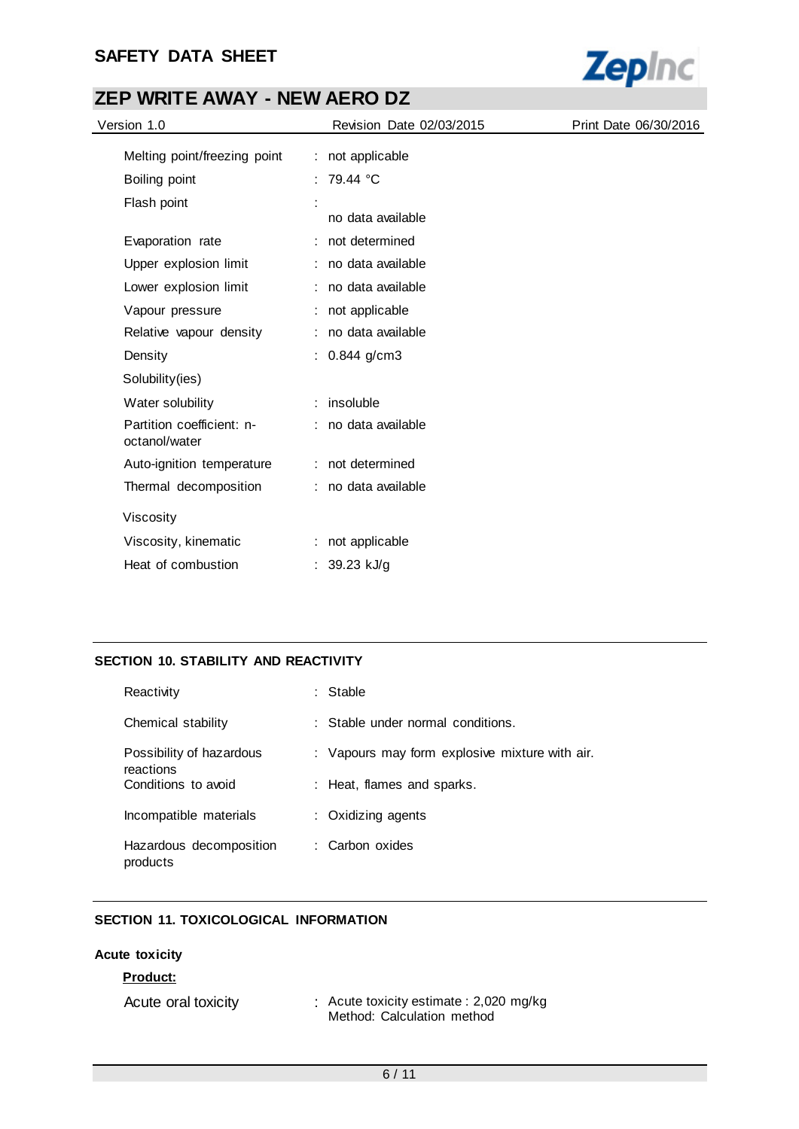### **SAFETY DATA SHEET**



# **ZEP WRITE AWAY - NEW AERO DZ**

| Version 1.0                                | Revision Date 02/03/2015 | Print Date 06/30/2016 |
|--------------------------------------------|--------------------------|-----------------------|
| Melting point/freezing point               | : not applicable         |                       |
| Boiling point                              | : 79.44 °C               |                       |
| Flash point                                | no data available        |                       |
| Evaporation rate                           | : not determined         |                       |
| Upper explosion limit                      | : no data available      |                       |
| Lower explosion limit                      | : no data available      |                       |
| Vapour pressure                            | : not applicable         |                       |
| Relative vapour density                    | : no data available      |                       |
| Density                                    | : $0.844$ g/cm3          |                       |
| Solubility(ies)                            |                          |                       |
| Water solubility                           | $:$ insoluble            |                       |
| Partition coefficient: n-<br>octanol/water | : no data available      |                       |
| Auto-ignition temperature                  | : not determined         |                       |
| Thermal decomposition                      | : no data available      |                       |
| Viscosity                                  |                          |                       |
| Viscosity, kinematic                       | : not applicable         |                       |
| Heat of combustion                         | : $39.23$ kJ/g           |                       |

### **SECTION 10. STABILITY AND REACTIVITY**

| Reactivity                            | Stable                                         |
|---------------------------------------|------------------------------------------------|
| Chemical stability                    | : Stable under normal conditions.              |
| Possibility of hazardous<br>reactions | : Vapours may form explosive mixture with air. |
| Conditions to avoid                   | : Heat, flames and sparks.                     |
| Incompatible materials                | : Oxidizing agents                             |
| Hazardous decomposition<br>products   | : Carbon oxides                                |

### **SECTION 11. TOXICOLOGICAL INFORMATION**

#### **Acute toxicity**

#### **Product:**

| Acute oral toxicity | : Acute toxicity estimate : 2,020 mg/kg |
|---------------------|-----------------------------------------|
|                     | Method: Calculation method              |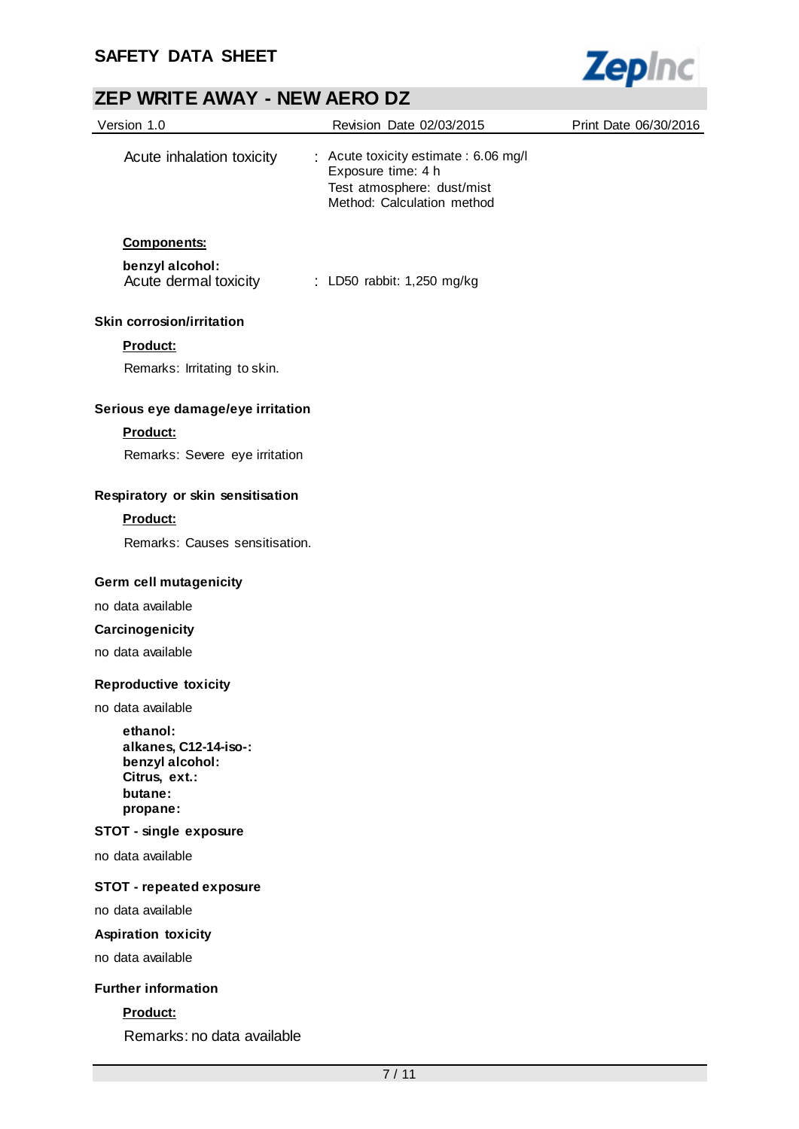

| Version 1.0                                                                                  | Revision Date 02/03/2015                                                                                                | Print Date 06/30/2016 |
|----------------------------------------------------------------------------------------------|-------------------------------------------------------------------------------------------------------------------------|-----------------------|
| Acute inhalation toxicity                                                                    | : Acute toxicity estimate : 6.06 mg/l<br>Exposure time: 4 h<br>Test atmosphere: dust/mist<br>Method: Calculation method |                       |
| <b>Components:</b>                                                                           |                                                                                                                         |                       |
| benzyl alcohol:<br>Acute dermal toxicity                                                     | : LD50 rabbit: 1,250 mg/kg                                                                                              |                       |
| <b>Skin corrosion/irritation</b>                                                             |                                                                                                                         |                       |
| Product:                                                                                     |                                                                                                                         |                       |
| Remarks: Irritating to skin.                                                                 |                                                                                                                         |                       |
| Serious eye damage/eye irritation                                                            |                                                                                                                         |                       |
| <b>Product:</b>                                                                              |                                                                                                                         |                       |
| Remarks: Severe eye irritation                                                               |                                                                                                                         |                       |
| Respiratory or skin sensitisation                                                            |                                                                                                                         |                       |
| Product:                                                                                     |                                                                                                                         |                       |
| Remarks: Causes sensitisation.                                                               |                                                                                                                         |                       |
| Germ cell mutagenicity                                                                       |                                                                                                                         |                       |
| no data available                                                                            |                                                                                                                         |                       |
| Carcinogenicity                                                                              |                                                                                                                         |                       |
| no data available                                                                            |                                                                                                                         |                       |
| <b>Reproductive toxicity</b>                                                                 |                                                                                                                         |                       |
| no data available                                                                            |                                                                                                                         |                       |
| ethanol:<br>alkanes, C12-14-iso-:<br>benzyl alcohol:<br>Citrus, ext.:<br>butane:<br>propane: |                                                                                                                         |                       |
| <b>STOT - single exposure</b>                                                                |                                                                                                                         |                       |
| no data available                                                                            |                                                                                                                         |                       |
| <b>STOT - repeated exposure</b>                                                              |                                                                                                                         |                       |
| no data available                                                                            |                                                                                                                         |                       |
| <b>Aspiration toxicity</b>                                                                   |                                                                                                                         |                       |
| no data available                                                                            |                                                                                                                         |                       |
| <b>Further information</b>                                                                   |                                                                                                                         |                       |
| Product:                                                                                     |                                                                                                                         |                       |

Remarks: no data available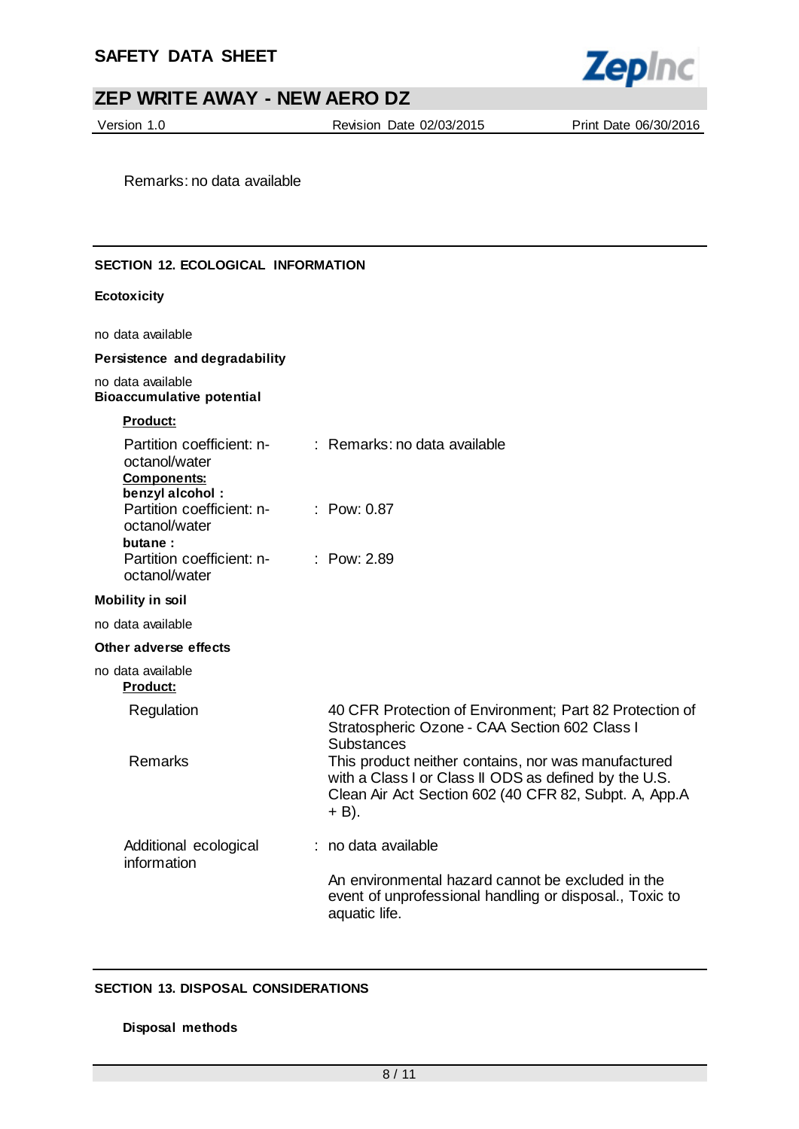

Version 1.0 Revision Date 02/03/2015 Print Date 06/30/2016

Remarks: no data available

#### **SECTION 12. ECOLOGICAL INFORMATION**

#### **Ecotoxicity**

no data available

#### **Persistence and degradability**

no data available **Bioaccumulative potential**

#### **Product:**

| Partition coefficient: n-<br>octanol/water<br><b>Components:</b>         | : Remarks: no data available                                                                                                                                                   |
|--------------------------------------------------------------------------|--------------------------------------------------------------------------------------------------------------------------------------------------------------------------------|
| benzyl alcohol:<br>Partition coefficient: n-<br>octanol/water<br>butane: | : $Pow: 0.87$                                                                                                                                                                  |
| Partition coefficient: n-<br>octanol/water                               | $:$ Pow: 2.89                                                                                                                                                                  |
| <b>Mobility in soil</b>                                                  |                                                                                                                                                                                |
| no data available                                                        |                                                                                                                                                                                |
| Other adverse effects                                                    |                                                                                                                                                                                |
| no data available<br><b>Product:</b>                                     |                                                                                                                                                                                |
| Regulation                                                               | 40 CFR Protection of Environment; Part 82 Protection of<br>Stratospheric Ozone - CAA Section 602 Class I<br><b>Substances</b>                                                  |
| Remarks                                                                  | This product neither contains, nor was manufactured<br>with a Class I or Class II ODS as defined by the U.S.<br>Clean Air Act Section 602 (40 CFR 82, Subpt. A, App.A<br>+ B). |
| Additional ecological<br>information                                     | : no data available                                                                                                                                                            |
|                                                                          | An environmental hazard cannot be excluded in the<br>event of unprofessional handling or disposal., Toxic to<br>aquatic life.                                                  |

#### **SECTION 13. DISPOSAL CONSIDERATIONS**

#### **Disposal methods**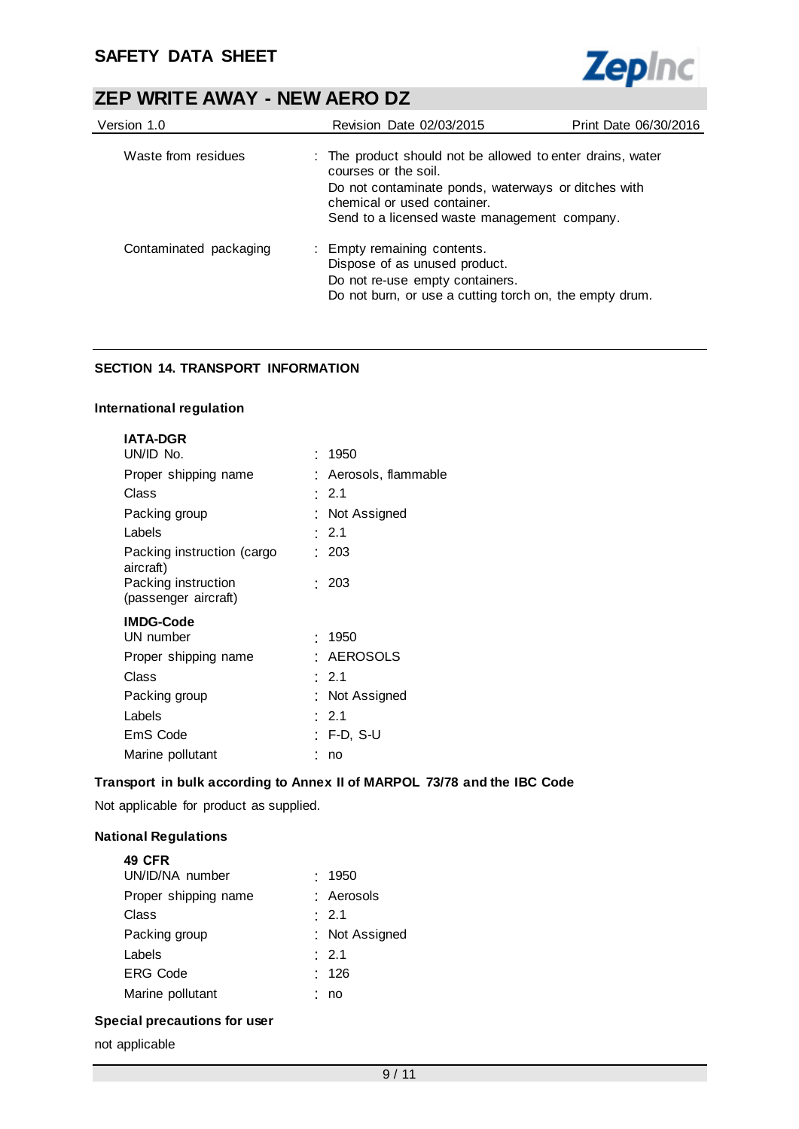

| Version 1.0            | <b>Revision Date 02/03/2015</b>                                                                                                                                                                                          | Print Date 06/30/2016 |
|------------------------|--------------------------------------------------------------------------------------------------------------------------------------------------------------------------------------------------------------------------|-----------------------|
| Waste from residues    | : The product should not be allowed to enter drains, water<br>courses or the soil.<br>Do not contaminate ponds, waterways or ditches with<br>chemical or used container.<br>Send to a licensed waste management company. |                       |
| Contaminated packaging | : Empty remaining contents.<br>Dispose of as unused product.<br>Do not re-use empty containers.<br>Do not burn, or use a cutting torch on, the empty drum.                                                               |                       |

### **SECTION 14. TRANSPORT INFORMATION**

#### **International regulation**

| <b>IATA-DGR</b>                             |                       |
|---------------------------------------------|-----------------------|
| UN/ID No.                                   | : 1950                |
| Proper shipping name                        | : Aerosols, flammable |
| Class                                       | $\cdot$ 2.1           |
| Packing group                               | : Not Assigned        |
| Labels                                      | : 2.1                 |
| Packing instruction (cargo<br>aircraft)     | : 203                 |
| Packing instruction<br>(passenger aircraft) | : 203                 |
| <b>IMDG-Code</b>                            |                       |
| UN number                                   | : 1950                |
| Proper shipping name                        | <b>AEROSOLS</b>       |
| Class                                       | $\cdot$ 2.1           |
| Packing group                               | : Not Assigned        |
| Labels                                      | $\cdot$ 2.1           |
| EmS Code                                    | : F-D. S-U            |
| Marine pollutant                            | no                    |

### **Transport in bulk according to Annex II of MARPOL 73/78 and the IBC Code**

Not applicable for product as supplied.

### **National Regulations**

| <b>49 CFR</b>        |                |  |
|----------------------|----------------|--|
| UN/ID/NA number      | : 1950         |  |
| Proper shipping name | : Aerosols     |  |
| Class                | : 2.1          |  |
| Packing group        | : Not Assigned |  |
| Labels               | : 2.1          |  |
| <b>ERG Code</b>      | : 126          |  |
| Marine pollutant     | no             |  |
|                      |                |  |

### **Special precautions for user**

not applicable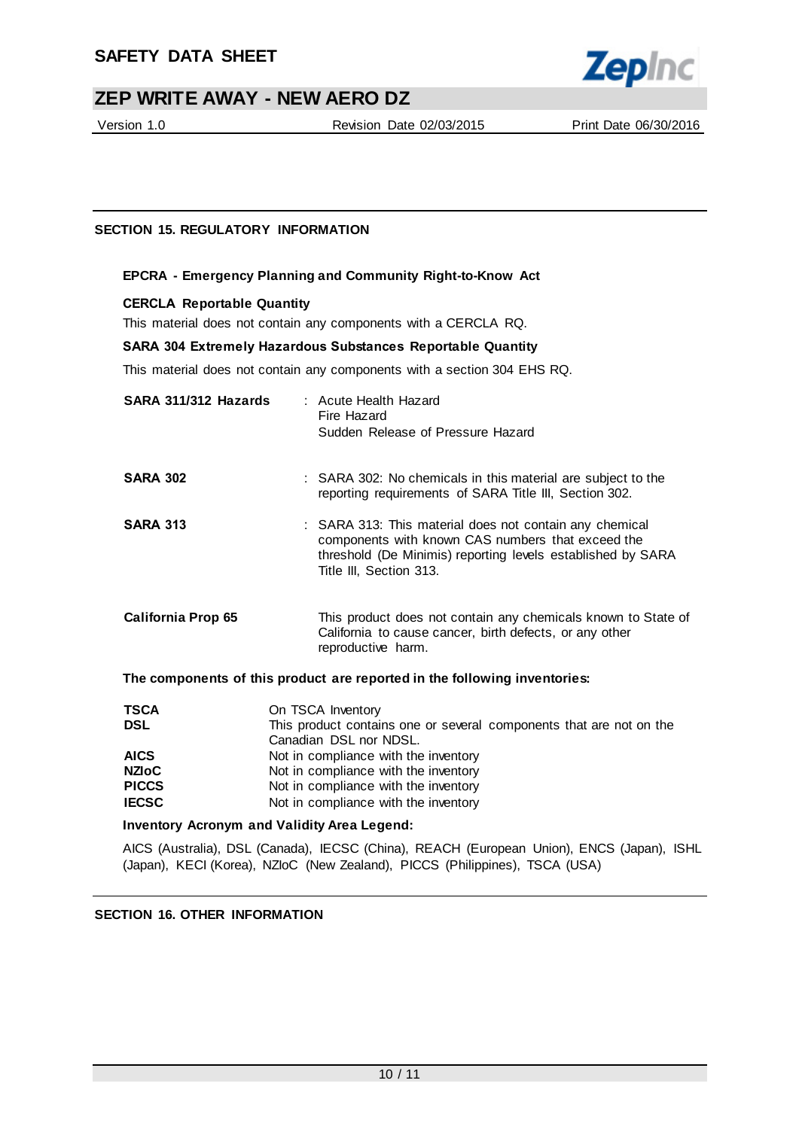

Version 1.0 Revision Date 02/03/2015 Print Date 06/30/2016

### **SECTION 15. REGULATORY INFORMATION**

#### **EPCRA - Emergency Planning and Community Right-to-Know Act**

#### **CERCLA Reportable Quantity**

This material does not contain any components with a CERCLA RQ.

#### **SARA 304 Extremely Hazardous Substances Reportable Quantity**

This material does not contain any components with a section 304 EHS RQ.

| SARA 311/312 Hazards      | : Acute Health Hazard<br>Fire Hazard<br>Sudden Release of Pressure Hazard                                                                                                                              |
|---------------------------|--------------------------------------------------------------------------------------------------------------------------------------------------------------------------------------------------------|
| <b>SARA 302</b>           | : SARA 302: No chemicals in this material are subject to the<br>reporting requirements of SARA Title III, Section 302.                                                                                 |
| <b>SARA 313</b>           | : SARA 313: This material does not contain any chemical<br>components with known CAS numbers that exceed the<br>threshold (De Minimis) reporting levels established by SARA<br>Title III, Section 313. |
| <b>California Prop 65</b> | This product does not contain any chemicals known to State of<br>California to cause cancer, birth defects, or any other<br>reproductive harm.                                                         |
|                           | The components of this product are reported in the following inventories:                                                                                                                              |
| <b>TSCA</b><br>ופח        | On TSCA Inventory<br>This product contains and ar sourcel companents that are not on the                                                                                                               |

| 15CA         | On <b>ISCA</b> Inventory                                            |
|--------------|---------------------------------------------------------------------|
| <b>DSL</b>   | This product contains one or several components that are not on the |
|              | Canadian DSL nor NDSL.                                              |
| <b>AICS</b>  | Not in compliance with the inventory                                |
| NZIoC        | Not in compliance with the inventory                                |
| <b>PICCS</b> | Not in compliance with the inventory                                |
| <b>IECSC</b> | Not in compliance with the inventory                                |
|              |                                                                     |

#### **Inventory Acronym and Validity Area Legend:**

AICS (Australia), DSL (Canada), IECSC (China), REACH (European Union), ENCS (Japan), ISHL (Japan), KECI (Korea), NZIoC (New Zealand), PICCS (Philippines), TSCA (USA)

#### **SECTION 16. OTHER INFORMATION**